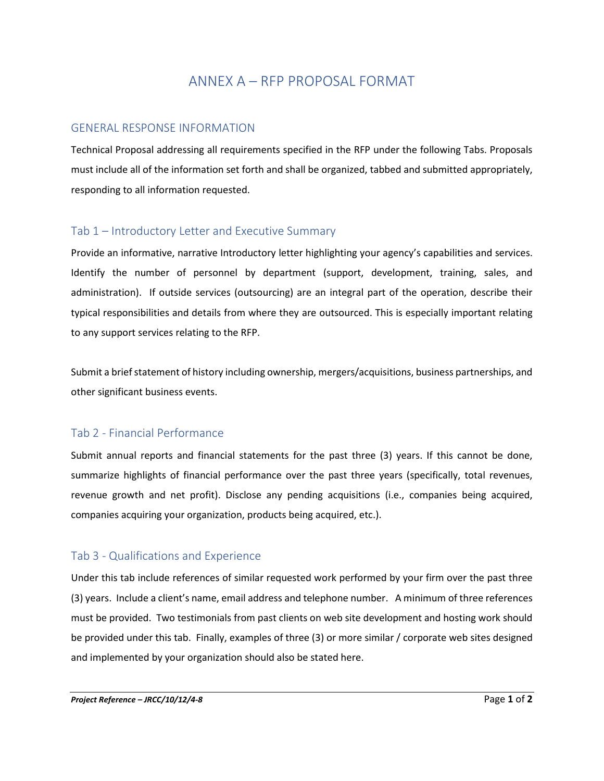# ANNEX A – RFP PROPOSAL FORMAT

#### GENERAL RESPONSE INFORMATION

Technical Proposal addressing all requirements specified in the RFP under the following Tabs. Proposals must include all of the information set forth and shall be organized, tabbed and submitted appropriately, responding to all information requested.

### Tab 1 – Introductory Letter and Executive Summary

Provide an informative, narrative Introductory letter highlighting your agency's capabilities and services. Identify the number of personnel by department (support, development, training, sales, and administration). If outside services (outsourcing) are an integral part of the operation, describe their typical responsibilities and details from where they are outsourced. This is especially important relating to any support services relating to the RFP.

Submit a brief statement of history including ownership, mergers/acquisitions, business partnerships, and other significant business events.

### Tab 2 - Financial Performance

Submit annual reports and financial statements for the past three (3) years. If this cannot be done, summarize highlights of financial performance over the past three years (specifically, total revenues, revenue growth and net profit). Disclose any pending acquisitions (i.e., companies being acquired, companies acquiring your organization, products being acquired, etc.).

### Tab 3 - Qualifications and Experience

Under this tab include references of similar requested work performed by your firm over the past three (3) years. Include a client's name, email address and telephone number. A minimum of three references must be provided. Two testimonials from past clients on web site development and hosting work should be provided under this tab. Finally, examples of three (3) or more similar / corporate web sites designed and implemented by your organization should also be stated here.